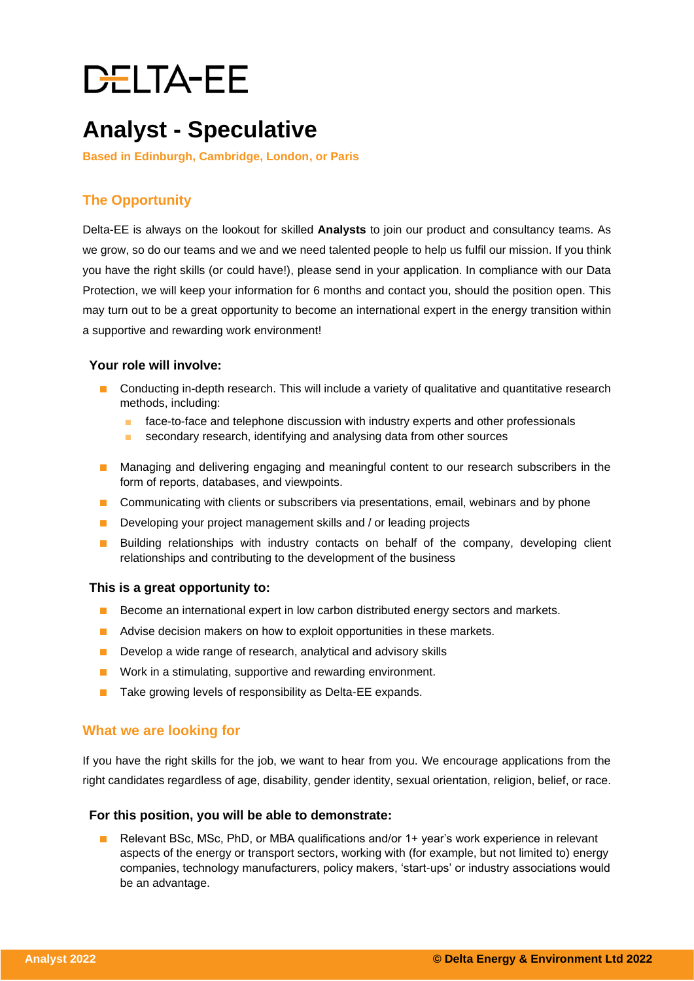# **DELTA-EE**

### **Analyst - Speculative**

**Based in Edinburgh, Cambridge, London, or Paris**

### **The Opportunity**

Delta-EE is always on the lookout for skilled **Analysts** to join our product and consultancy teams. As we grow, so do our teams and we and we need talented people to help us fulfil our mission. If you think you have the right skills (or could have!), please send in your application. In compliance with our Data Protection, we will keep your information for 6 months and contact you, should the position open. This may turn out to be a great opportunity to become an international expert in the energy transition within a supportive and rewarding work environment!

#### **Your role will involve:**

- Conducting in-depth research. This will include a variety of qualitative and quantitative research methods, including:
	- face-to-face and telephone discussion with industry experts and other professionals
	- secondary research, identifying and analysing data from other sources
- Managing and delivering engaging and meaningful content to our research subscribers in the form of reports, databases, and viewpoints.
- Communicating with clients or subscribers via presentations, email, webinars and by phone
- Developing your project management skills and / or leading projects
- Building relationships with industry contacts on behalf of the company, developing client relationships and contributing to the development of the business

#### **This is a great opportunity to:**

- Become an international expert in low carbon distributed energy sectors and markets.
- Advise decision makers on how to exploit opportunities in these markets.
- Develop a wide range of research, analytical and advisory skills
- Work in a stimulating, supportive and rewarding environment.
- Take growing levels of responsibility as Delta-EE expands.

#### **What we are looking for**

If you have the right skills for the job, we want to hear from you. We encourage applications from the right candidates regardless of age, disability, gender identity, sexual orientation, religion, belief, or race.

#### **For this position, you will be able to demonstrate:**

Relevant BSc, MSc, PhD, or MBA qualifications and/or 1+ year's work experience in relevant aspects of the energy or transport sectors, working with (for example, but not limited to) energy companies, technology manufacturers, policy makers, 'start-ups' or industry associations would be an advantage.